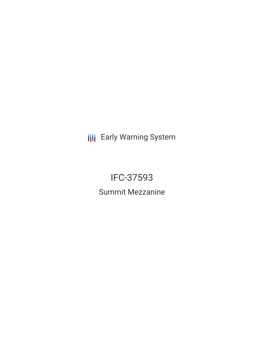**III** Early Warning System

IFC-37593 Summit Mezzanine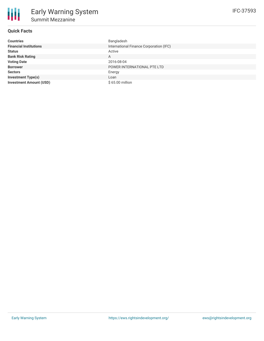# **Quick Facts**

| <b>Countries</b>               | Bangladesh                              |
|--------------------------------|-----------------------------------------|
| <b>Financial Institutions</b>  | International Finance Corporation (IFC) |
| <b>Status</b>                  | Active                                  |
| <b>Bank Risk Rating</b>        | A                                       |
| <b>Voting Date</b>             | 2016-08-04                              |
| <b>Borrower</b>                | POWER INTERNATIONAL PTE LTD             |
| <b>Sectors</b>                 | Energy                                  |
| <b>Investment Type(s)</b>      | Loan                                    |
| <b>Investment Amount (USD)</b> | \$65.00 million                         |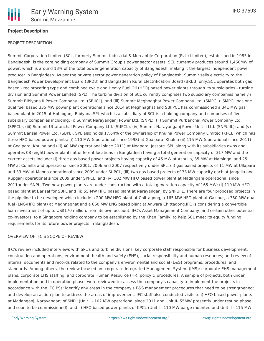

# **Project Description**

### PROJECT DESCRIPTION

Summit Corporation Limited (SCL, formerly Summit Industrial & Mercantile Corporation (Pvt.) Limited), established in 1985 in Bangladesh, is the core holding company of Summit Group's power sector assets. SCL currently produces around 1,460MW of power, which is around 13% of the total power generation capacity of Bangladesh, making it the largest independent power producer in Bangladesh. As per the private sector power generation policy of Bangladesh, Summit sells electricity to the Bangladesh Power Development Board (BPDB) and Bangladesh Rural Electrification Board (BREB) only.SCL operates both gas based - reciprocating type and combined cycle and Heavy Fuel Oil (HFO) based power plants through its subsidiaries - turbine division and Summit Power Limited (SPL). The turbine division of SCL currently comprises two subsidiary companies namely i) Summit Bibiyana II Power Company Ltd. (SBIICL); and (iii) Summit Meghnaghat Power Company Ltd. (SMPCL). SMPCL has one dual fuel based 335 MW power plant operational since 2014 at Meghnaghat and SBIIPCL has commissioned a 341 MW gas based plant in 2015 at Hobibganj, Bibiyana.SPL which is a subsidiary of SCL is a holding company and comprises of five subsidiary companies including: (i) Summit Narayanganj Power Ltd. (SNPL), (ii) Summit Purbanchal Power Company Ltd. (SPPCL), (iii) Summit Uttaranchal Power Company Ltd. (SUPCL), (iv) Summit Narayanganj Power Unit II Ltd. (SNPUIIL); and (v) Summit Barisal Power Ltd. (SBPL). SPL also holds 17.64% of the ownership of Khulna Power Company Limited (KPCL) which has three HFO based power plants: (i) 110 MW (operational since 1998) at Goalpara, Khulna (ii) 115 MW (operational since 2011) at Goalpara, Khulna and (iii) 40 MW (operational since 2011) at Noapara, Jessore. SPL along with its subsidiaries owns and operates 08 (eight) power plants at different locations in Bangladesh having a total generation capacity of 317 MW and the current assets include: (i) three gas based power projects having capacity of 45 MW at Ashulia, 35 MW at Narsingdi and 25 MW at Comilla and operational since 2001, 2006 and 2007 respectively under SPL; (ii) gas based projects of 11 MW at Ullapara and 33 MW at Maona operational since 2009 under SUPCL, (iii) two gas based projects of 33 MW capacity each at Jangalia and Rupganj operational since 2009 under SPPCL; and (iv) 102 MW HFO based power plant at Madanganj operational since 2011under SNPL. Two new power plants are under construction with a total generation capacity of 165 MW: (i) 110 MW HFO based plant at Barisal for SBPL and (ii) 55 MW HFO based plant at Narayanganj by SNPUIIL. There are four proposed projects in the pipeline to be developed which include a 200 MW HFO plant at Chittagong, a 165 MW HFO plant at Gazipur, a 350 MW dual fuel (LNG/HFO plant) at Meghnaghat and a 660 MW LNG based plant at Anwara Chittagong.IFC is considering a convertible loan investment of up to US\$170 million, from its own account, IFC's Asset Management Company, and certain other potential co-investors, to a Singapore holding company to be established by the Khan Family, to help SCL meet its equity funding requirements for its future power projects in Bangladesh.

#### OVERVIEW OF IFC'S SCOPE OF REVIEW

IFC's review included interviews with SPL's and turbine divisions' key corporate staff responsible for business development, construction and operations, environment, health and safety (EHS), social responsibility and human resources; and review of internal documents and records related to the company's environmental and social (E&S) programs, procedures, and standards. Among others, the review focused on: corporate Integrated Management System (IMS); corporate EHS management plans; corporate EHS staffing; and corporate Human Resource (HR) policy & procedures. A sample of projects, both under implementation and in operation phase, were reviewed to: assess the company's capacity to implement the projects in accordance with the IFC PSs; identify any areas in the company's E&S management procedures that need to be strengthened; and develop an action plan to address the areas of improvement. IFC staff also conducted visits to i) HFO based power plants at Madanganj, Narayanganj of SNPL (Unit I - 102 MW operational since 2011 and Unit II-55MW presently under testing phase and soon to be commissioned); and ii) HFO based power plants of KPCL (Unit I - 110 MW barge mounted and Unit II - 115 MW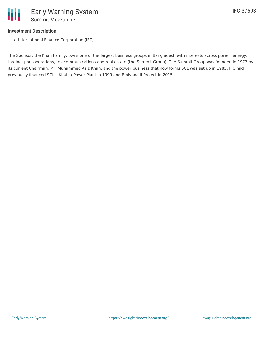# **Investment Description**

• International Finance Corporation (IFC)

The Sponsor, the Khan Family, owns one of the largest business groups in Bangladesh with interests across power, energy, trading, port operations, telecommunications and real estate (the Summit Group). The Summit Group was founded in 1972 by its current Chairman, Mr. Muhammed Aziz Khan, and the power business that now forms SCL was set up in 1985. IFC had previously financed SCL's Khulna Power Plant in 1999 and Bibiyana II Project in 2015.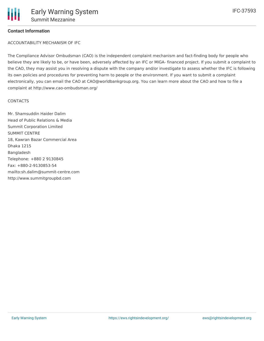## **Contact Information**

ACCOUNTABILITY MECHANISM OF IFC

The Compliance Advisor Ombudsman (CAO) is the independent complaint mechanism and fact-finding body for people who believe they are likely to be, or have been, adversely affected by an IFC or MIGA- financed project. If you submit a complaint to the CAO, they may assist you in resolving a dispute with the company and/or investigate to assess whether the IFC is following its own policies and procedures for preventing harm to people or the environment. If you want to submit a complaint electronically, you can email the CAO at CAO@worldbankgroup.org. You can learn more about the CAO and how to file a complaint at http://www.cao-ombudsman.org/

#### **CONTACTS**

Mr. Shamsuddin Haider Dalim Head of Public Relations & Media Summit Corporation Limited SUMMIT CENTRE 18, Kawran Bazar Commercial Area Dhaka 1215 Bangladesh Telephone: +880 2 9130845 Fax: +880-2-9130853-54 mailto:sh.dalim@summit-centre.com http://www.summitgroupbd.com